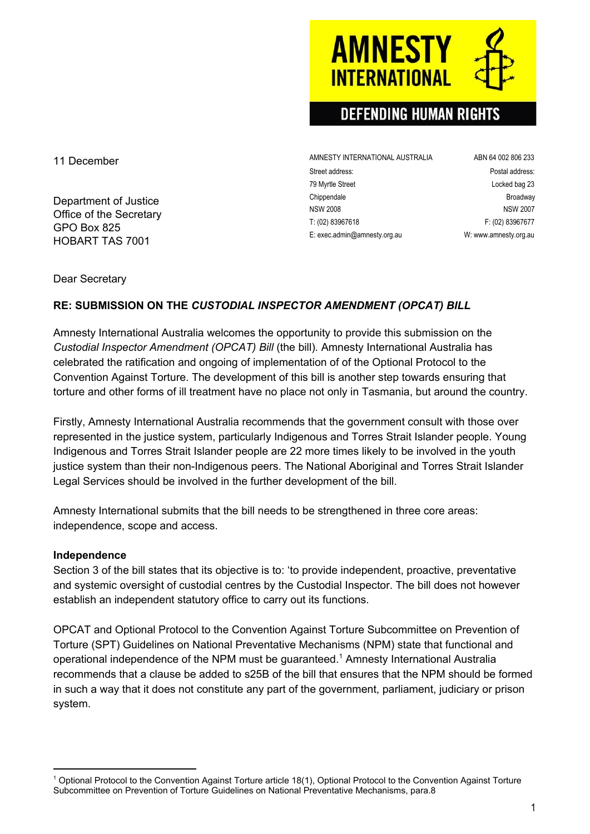### 11 December

Department of Justice Office of the Secretary GPO Box 825 HOBART TAS 7001

AMNESTY INTERNATIONAL AUSTRALIA ABN 64 002 806 233 Street address: extending the street address: Postal address: 79 Myrtle Street **Locked bag 23** Chippendale **Broadway** NSW 2008 NSW 2007 T: (02) 83967618 F: (02) 83967677 E: exec.admin@amnesty.org.au W: [www.amnesty.org.au](http://www.amnesty.org.au/)

Dear Secretary

### **RE: SUBMISSION ON THE** *CUSTODIAL INSPECTOR AMENDMENT (OPCAT) BILL*

Amnesty International Australia welcomes the opportunity to provide this submission on the *Custodial Inspector Amendment (OPCAT) Bill* (the bill)*.* Amnesty International Australia has celebrated the ratification and ongoing of implementation of of the Optional Protocol to the Convention Against Torture. The development of this bill is another step towards ensuring that torture and other forms of ill treatment have no place not only in Tasmania, but around the country.

Firstly, Amnesty International Australia recommends that the government consult with those over represented in the justice system, particularly Indigenous and Torres Strait Islander people. Young Indigenous and Torres Strait Islander people are 22 more times likely to be involved in the youth justice system than their non-Indigenous peers. The National Aboriginal and Torres Strait Islander Legal Services should be involved in the further development of the bill.

Amnesty International submits that the bill needs to be strengthened in three core areas: independence, scope and access.

### **Independence**

Section 3 of the bill states that its objective is to: 'to provide independent, proactive, preventative and systemic oversight of custodial centres by the Custodial Inspector. The bill does not however establish an independent statutory office to carry out its functions.

OPCAT and Optional Protocol to the Convention Against Torture Subcommittee on Prevention of Torture (SPT) Guidelines on National Preventative Mechanisms (NPM) state that functional and operational independence of the NPM must be guaranteed.<sup>1</sup> Amnesty International Australia recommends that a clause be added to s25B of the bill that ensures that the NPM should be formed in such a way that it does not constitute any part of the government, parliament, judiciary or prison system.

# **AMNESTY INTERNATIONA**

## **DEFENDING HUMAN RIGHTS**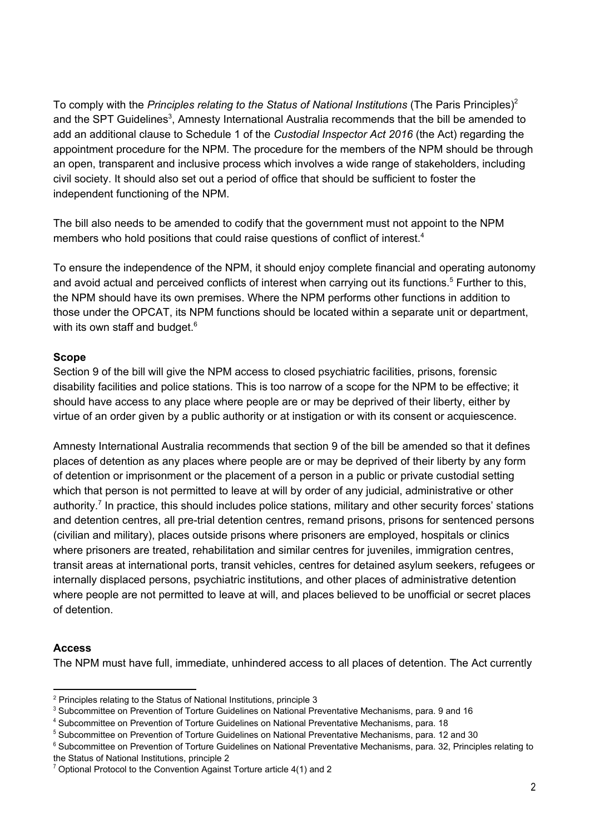To comply with the *Principles relating to the Status of National Institutions* (The Paris Principles) 2 and the SPT Guidelines<sup>3</sup>, Amnesty International Australia recommends that the bill be amended to add an additional clause to Schedule 1 of the *Custodial Inspector Act 2016* (the Act) regarding the appointment procedure for the NPM. The procedure for the members of the NPM should be through an open, transparent and inclusive process which involves a wide range of stakeholders, including civil society. It should also set out a period of office that should be sufficient to foster the independent functioning of the NPM.

The bill also needs to be amended to codify that the government must not appoint to the NPM members who hold positions that could raise questions of conflict of interest. 4

To ensure the independence of the NPM, it should enjoy complete financial and operating autonomy and avoid actual and perceived conflicts of interest when carrying out its functions.<sup>5</sup> Further to this, the NPM should have its own premises. Where the NPM performs other functions in addition to those under the OPCAT, its NPM functions should be located within a separate unit or department, with its own staff and budget.<sup>6</sup>

### **Scope**

Section 9 of the bill will give the NPM access to closed psychiatric facilities, prisons, forensic disability facilities and police stations. This is too narrow of a scope for the NPM to be effective; it should have access to any place where people are or may be deprived of their liberty, either by virtue of an order given by a public authority or at instigation or with its consent or acquiescence.

Amnesty International Australia recommends that section 9 of the bill be amended so that it defines places of detention as any places where people are or may be deprived of their liberty by any form of detention or imprisonment or the placement of a person in a public or private custodial setting which that person is not permitted to leave at will by order of any judicial, administrative or other authority.<sup>7</sup> In practice, this should includes police stations, military and other security forces' stations and detention centres, all pre-trial detention centres, remand prisons, prisons for sentenced persons (civilian and military), places outside prisons where prisoners are employed, hospitals or clinics where prisoners are treated, rehabilitation and similar centres for juveniles, immigration centres, transit areas at international ports, transit vehicles, centres for detained asylum seekers, refugees or internally displaced persons, psychiatric institutions, and other places of administrative detention where people are not permitted to leave at will, and places believed to be unofficial or secret places of detention.

### **Access**

The NPM must have full, immediate, unhindered access to all places of detention. The Act currently

<sup>&</sup>lt;sup>2</sup> Principles relating to the Status of National Institutions, principle 3

<sup>&</sup>lt;sup>3</sup> Subcommittee on Prevention of Torture Guidelines on National Preventative Mechanisms, para. 9 and 16

<sup>4</sup> Subcommittee on Prevention of Torture Guidelines on National Preventative Mechanisms, para. 18

<sup>5</sup> Subcommittee on Prevention of Torture Guidelines on National Preventative Mechanisms, para. 12 and 30

<sup>&</sup>lt;sup>6</sup> Subcommittee on Prevention of Torture Guidelines on National Preventative Mechanisms, para. 32, Principles relating to the Status of National Institutions, principle 2

 $7$  Optional Protocol to the Convention Against Torture article 4(1) and 2